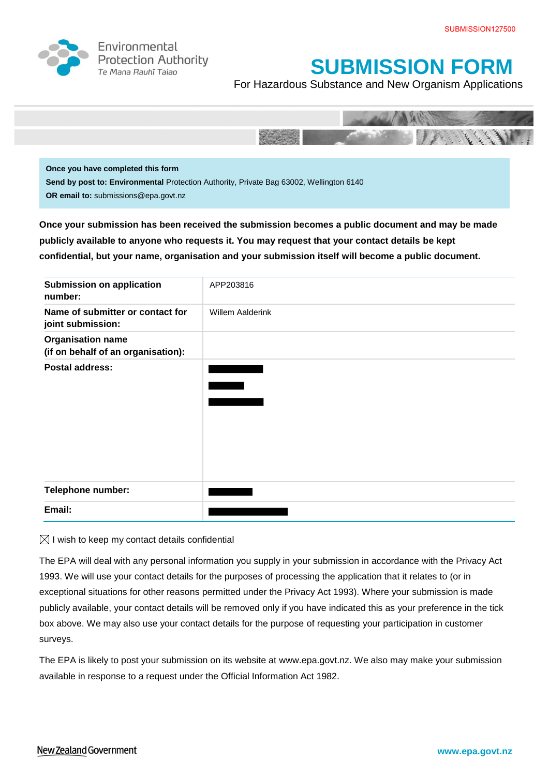

Environmental **Protection Authority** Te Mana Rauhī Tajao



For Hazardous Substance and New Organism Applications



**Once you have completed this form Send by post to: Environmental** Protection Authority, Private Bag 63002, Wellington 6140 **OR email to:** submissions@epa.govt.nz

**Once your submission has been received the submission becomes a public document and may be made publicly available to anyone who requests it. You may request that your contact details be kept confidential, but your name, organisation and your submission itself will become a public document.** 

| <b>Submission on application</b>                               | APP203816        |
|----------------------------------------------------------------|------------------|
| number:                                                        |                  |
| Name of submitter or contact for<br>joint submission:          | Willem Aalderink |
| <b>Organisation name</b><br>(if on behalf of an organisation): |                  |
| <b>Postal address:</b>                                         |                  |
|                                                                |                  |
|                                                                |                  |
|                                                                |                  |
|                                                                |                  |
|                                                                |                  |
|                                                                |                  |
| Telephone number:                                              |                  |
|                                                                |                  |
| Email:                                                         |                  |

 $\boxtimes$  I wish to keep my contact details confidential

The EPA will deal with any personal information you supply in your submission in accordance with the Privacy Act 1993. We will use your contact details for the purposes of processing the application that it relates to (or in exceptional situations for other reasons permitted under the Privacy Act 1993). Where your submission is made publicly available, your contact details will be removed only if you have indicated this as your preference in the tick box above. We may also use your contact details for the purpose of requesting your participation in customer surveys.

The EPA is likely to post your submission on its website at [www.epa.govt.nz.](http://www.ermanz.govt.nz/) We also may make your submission available in response to a request under the Official Information Act 1982.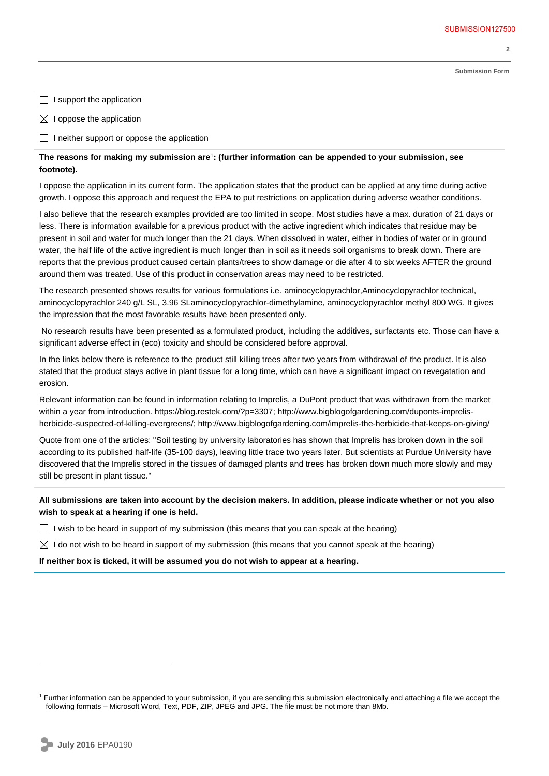**2** 

**Submission Form**

 $\Box$  I support the application

 $\boxtimes$  I oppose the application

 $\Box$  I neither support or oppose the application

## **The reasons for making my submission are**<sup>1</sup> **: (further information can be appended to your submission, see footnote).**

I oppose the application in its current form. The application states that the product can be applied at any time during active growth. I oppose this approach and request the EPA to put restrictions on application during adverse weather conditions.

I also believe that the research examples provided are too limited in scope. Most studies have a max. duration of 21 days or less. There is information available for a previous product with the active ingredient which indicates that residue may be present in soil and water for much longer than the 21 days. When dissolved in water, either in bodies of water or in ground water, the half life of the active ingredient is much longer than in soil as it needs soil organisms to break down. There are reports that the previous product caused certain plants/trees to show damage or die after 4 to six weeks AFTER the ground around them was treated. Use of this product in conservation areas may need to be restricted.

The research presented shows results for various formulations i.e. aminocyclopyrachlor,Aminocyclopyrachlor technical, aminocyclopyrachlor 240 g/L SL, 3.96 SLaminocyclopyrachlor-dimethylamine, aminocyclopyrachlor methyl 800 WG. It gives the impression that the most favorable results have been presented only.

No research results have been presented as a formulated product, including the additives, surfactants etc. Those can have a significant adverse effect in (eco) toxicity and should be considered before approval.

In the links below there is reference to the product still killing trees after two years from withdrawal of the product. It is also stated that the product stays active in plant tissue for a long time, which can have a significant impact on revegatation and erosion.

Relevant information can be found in information relating to Imprelis, a DuPont product that was withdrawn from the market within a year from introduction. https://blog.restek.com/?p=3307; http://www.bigblogofgardening.com/duponts-imprelisherbicide-suspected-of-killing-evergreens/; http://www.bigblogofgardening.com/imprelis-the-herbicide-that-keeps-on-giving/

Quote from one of the articles: "Soil testing by university laboratories has shown that Imprelis has broken down in the soil according to its published half-life (35-100 days), leaving little trace two years later. But scientists at Purdue University have discovered that the Imprelis stored in the tissues of damaged plants and trees has broken down much more slowly and may still be present in plant tissue."

**All submissions are taken into account by the decision makers. In addition, please indicate whether or not you also wish to speak at a hearing if one is held.**

 $\Box$  I wish to be heard in support of my submission (this means that you can speak at the hearing)

 $\boxtimes$  I do not wish to be heard in support of my submission (this means that you cannot speak at the hearing)

**If neither box is ticked, it will be assumed you do not wish to appear at a hearing.**

 $\overline{a}$ 

<sup>&</sup>lt;sup>1</sup> Further information can be appended to your submission, if you are sending this submission electronically and attaching a file we accept the following formats – Microsoft Word, Text, PDF, ZIP, JPEG and JPG. The file must be not more than 8Mb.